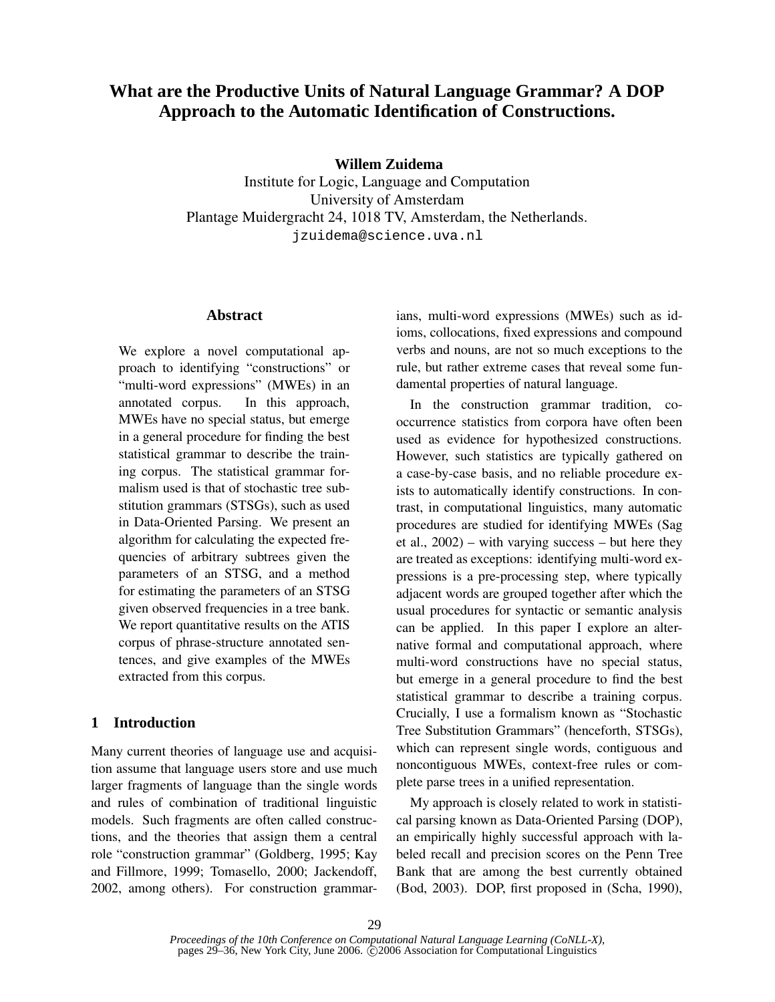# **What are the Productive Units of Natural Language Grammar? A DOP Approach to the Automatic Identification of Constructions.**

**Willem Zuidema**

Institute for Logic, Language and Computation University of Amsterdam Plantage Muidergracht 24, 1018 TV, Amsterdam, the Netherlands. jzuidema@science.uva.nl

### **Abstract**

We explore a novel computational approach to identifying "constructions" or "multi-word expressions" (MWEs) in an annotated corpus. In this approach, MWEs have no special status, but emerge in a general procedure for finding the best statistical grammar to describe the training corpus. The statistical grammar formalism used is that of stochastic tree substitution grammars (STSGs), such as used in Data-Oriented Parsing. We present an algorithm for calculating the expected frequencies of arbitrary subtrees given the parameters of an STSG, and a method for estimating the parameters of an STSG given observed frequencies in a tree bank. We report quantitative results on the ATIS corpus of phrase-structure annotated sentences, and give examples of the MWEs extracted from this corpus.

# **1 Introduction**

Many current theories of language use and acquisition assume that language users store and use much larger fragments of language than the single words and rules of combination of traditional linguistic models. Such fragments are often called constructions, and the theories that assign them a central role "construction grammar" (Goldberg, 1995; Kay and Fillmore, 1999; Tomasello, 2000; Jackendoff, 2002, among others). For construction grammarians, multi-word expressions (MWEs) such as idioms, collocations, fixed expressions and compound verbs and nouns, are not so much exceptions to the rule, but rather extreme cases that reveal some fundamental properties of natural language.

In the construction grammar tradition, cooccurrence statistics from corpora have often been used as evidence for hypothesized constructions. However, such statistics are typically gathered on a case-by-case basis, and no reliable procedure exists to automatically identify constructions. In contrast, in computational linguistics, many automatic procedures are studied for identifying MWEs (Sag et al.,  $2002$ ) – with varying success – but here they are treated as exceptions: identifying multi-word expressions is a pre-processing step, where typically adjacent words are grouped together after which the usual procedures for syntactic or semantic analysis can be applied. In this paper I explore an alternative formal and computational approach, where multi-word constructions have no special status, but emerge in a general procedure to find the best statistical grammar to describe a training corpus. Crucially, I use a formalism known as "Stochastic Tree Substitution Grammars" (henceforth, STSGs), which can represent single words, contiguous and noncontiguous MWEs, context-free rules or complete parse trees in a unified representation.

My approach is closely related to work in statistical parsing known as Data-Oriented Parsing (DOP), an empirically highly successful approach with labeled recall and precision scores on the Penn Tree Bank that are among the best currently obtained (Bod, 2003). DOP, first proposed in (Scha, 1990),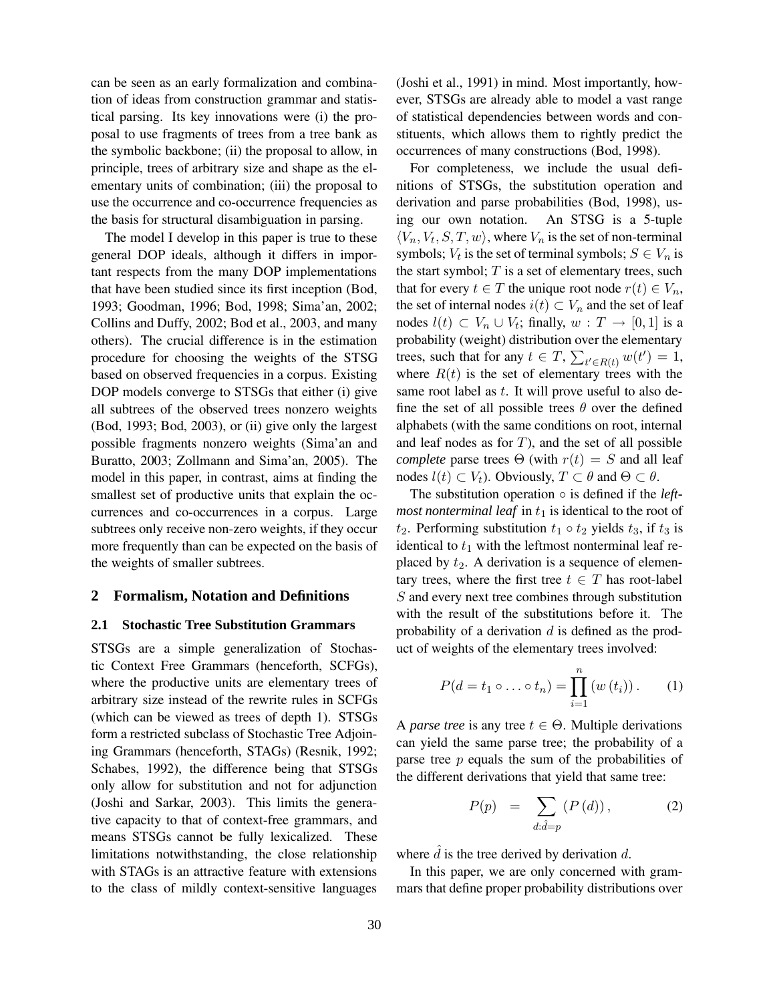can be seen as an early formalization and combination of ideas from construction grammar and statistical parsing. Its key innovations were (i) the proposal to use fragments of trees from a tree bank as the symbolic backbone; (ii) the proposal to allow, in principle, trees of arbitrary size and shape as the elementary units of combination; (iii) the proposal to use the occurrence and co-occurrence frequencies as the basis for structural disambiguation in parsing.

The model I develop in this paper is true to these general DOP ideals, although it differs in important respects from the many DOP implementations that have been studied since its first inception (Bod, 1993; Goodman, 1996; Bod, 1998; Sima'an, 2002; Collins and Duffy, 2002; Bod et al., 2003, and many others). The crucial difference is in the estimation procedure for choosing the weights of the STSG based on observed frequencies in a corpus. Existing DOP models converge to STSGs that either (i) give all subtrees of the observed trees nonzero weights (Bod, 1993; Bod, 2003), or (ii) give only the largest possible fragments nonzero weights (Sima'an and Buratto, 2003; Zollmann and Sima'an, 2005). The model in this paper, in contrast, aims at finding the smallest set of productive units that explain the occurrences and co-occurrences in a corpus. Large subtrees only receive non-zero weights, if they occur more frequently than can be expected on the basis of the weights of smaller subtrees.

#### **2 Formalism, Notation and Definitions**

#### **2.1 Stochastic Tree Substitution Grammars**

STSGs are a simple generalization of Stochastic Context Free Grammars (henceforth, SCFGs), where the productive units are elementary trees of arbitrary size instead of the rewrite rules in SCFGs (which can be viewed as trees of depth 1). STSGs form a restricted subclass of Stochastic Tree Adjoining Grammars (henceforth, STAGs) (Resnik, 1992; Schabes, 1992), the difference being that STSGs only allow for substitution and not for adjunction (Joshi and Sarkar, 2003). This limits the generative capacity to that of context-free grammars, and means STSGs cannot be fully lexicalized. These limitations notwithstanding, the close relationship with STAGs is an attractive feature with extensions to the class of mildly context-sensitive languages

(Joshi et al., 1991) in mind. Most importantly, however, STSGs are already able to model a vast range of statistical dependencies between words and constituents, which allows them to rightly predict the occurrences of many constructions (Bod, 1998).

For completeness, we include the usual definitions of STSGs, the substitution operation and derivation and parse probabilities (Bod, 1998), using our own notation. An STSG is a 5-tuple  $\langle V_n, V_t, S, T, w \rangle$ , where  $V_n$  is the set of non-terminal symbols;  $V_t$  is the set of terminal symbols;  $S \in V_n$  is the start symbol;  $T$  is a set of elementary trees, such that for every  $t \in T$  the unique root node  $r(t) \in V_n$ , the set of internal nodes  $i(t) \subset V_n$  and the set of leaf nodes  $l(t) \subset V_n \cup V_t$ ; finally,  $w: T \to [0,1]$  is a probability (weight) distribution over the elementary trees, such that for any  $t \in T$ ,  $\sum_{t' \in R(t)} w(t') = 1$ , where  $R(t)$  is the set of elementary trees with the same root label as t. It will prove useful to also define the set of all possible trees  $\theta$  over the defined alphabets (with the same conditions on root, internal and leaf nodes as for  $T$ ), and the set of all possible *complete* parse trees  $\Theta$  (with  $r(t) = S$  and all leaf nodes  $l(t) \subset V_t$ ). Obviously,  $T \subset \theta$  and  $\Theta \subset \theta$ .

The substitution operation ◦ is defined if the *leftmost nonterminal leaf* in  $t_1$  is identical to the root of  $t_2$ . Performing substitution  $t_1 \circ t_2$  yields  $t_3$ , if  $t_3$  is identical to  $t_1$  with the leftmost nonterminal leaf replaced by  $t_2$ . A derivation is a sequence of elementary trees, where the first tree  $t \in T$  has root-label S and every next tree combines through substitution with the result of the substitutions before it. The probability of a derivation  $d$  is defined as the product of weights of the elementary trees involved:

$$
P(d = t_1 \circ \ldots \circ t_n) = \prod_{i=1}^{n} (w(t_i)).
$$
 (1)

A *parse tree* is any tree  $t \in \Theta$ . Multiple derivations can yield the same parse tree; the probability of a parse tree  $p$  equals the sum of the probabilities of the different derivations that yield that same tree:

$$
P(p) = \sum_{d:\hat{d}=p} (P(d)), \qquad (2)
$$

where  $d$  is the tree derived by derivation  $d$ .

In this paper, we are only concerned with grammars that define proper probability distributions over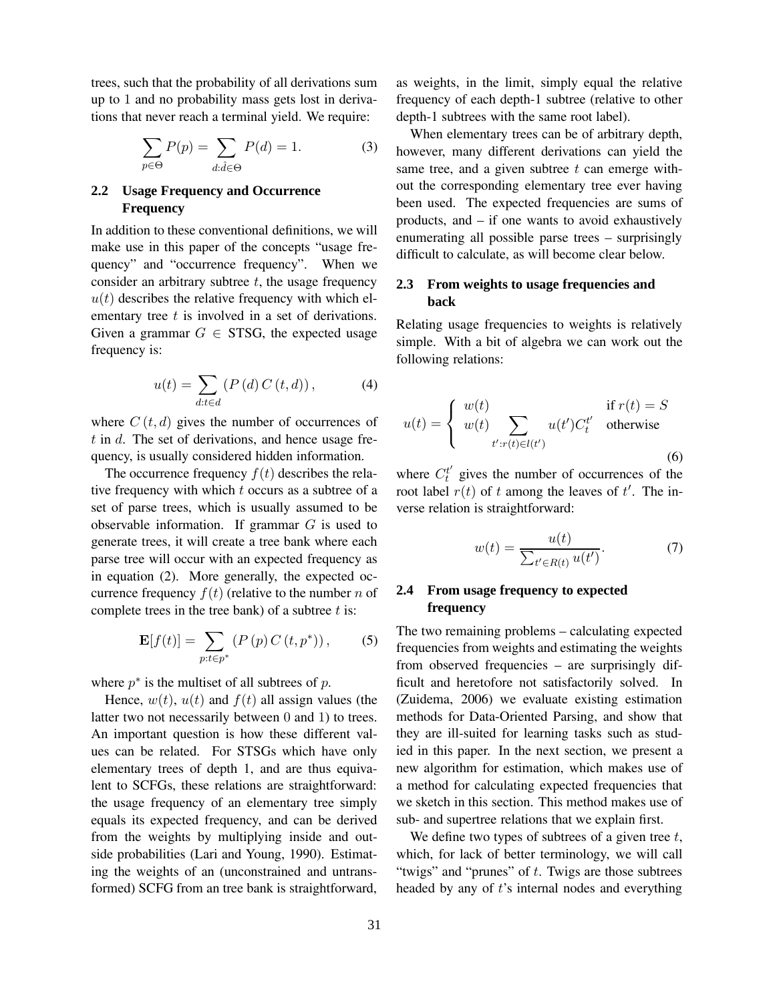trees, such that the probability of all derivations sum up to 1 and no probability mass gets lost in derivations that never reach a terminal yield. We require:

$$
\sum_{p \in \Theta} P(p) = \sum_{d:\hat{d} \in \Theta} P(d) = 1.
$$
 (3)

## **2.2 Usage Frequency and Occurrence Frequency**

In addition to these conventional definitions, we will make use in this paper of the concepts "usage frequency" and "occurrence frequency". When we consider an arbitrary subtree  $t$ , the usage frequency  $u(t)$  describes the relative frequency with which elementary tree  $t$  is involved in a set of derivations. Given a grammar  $G \in STSG$ , the expected usage frequency is:

$$
u(t) = \sum_{d:t \in d} \left( P\left(d\right) C\left(t, d\right) \right),\tag{4}
$$

where  $C(t, d)$  gives the number of occurrences of  $t$  in  $d$ . The set of derivations, and hence usage frequency, is usually considered hidden information.

The occurrence frequency  $f(t)$  describes the relative frequency with which  $t$  occurs as a subtree of a set of parse trees, which is usually assumed to be observable information. If grammar  $G$  is used to generate trees, it will create a tree bank where each parse tree will occur with an expected frequency as in equation (2). More generally, the expected occurrence frequency  $f(t)$  (relative to the number n of complete trees in the tree bank) of a subtree  $t$  is:

$$
\mathbf{E}[f(t)] = \sum_{p:t \in p^*} (P(p) C(t, p^*)), \quad (5)
$$

where  $p^*$  is the multiset of all subtrees of  $p$ .

Hence,  $w(t)$ ,  $u(t)$  and  $f(t)$  all assign values (the latter two not necessarily between 0 and 1) to trees. An important question is how these different values can be related. For STSGs which have only elementary trees of depth 1, and are thus equivalent to SCFGs, these relations are straightforward: the usage frequency of an elementary tree simply equals its expected frequency, and can be derived from the weights by multiplying inside and outside probabilities (Lari and Young, 1990). Estimating the weights of an (unconstrained and untransformed) SCFG from an tree bank is straightforward,

as weights, in the limit, simply equal the relative frequency of each depth-1 subtree (relative to other depth-1 subtrees with the same root label).

When elementary trees can be of arbitrary depth, however, many different derivations can yield the same tree, and a given subtree  $t$  can emerge without the corresponding elementary tree ever having been used. The expected frequencies are sums of products, and – if one wants to avoid exhaustively enumerating all possible parse trees – surprisingly difficult to calculate, as will become clear below.

## **2.3 From weights to usage frequencies and back**

Relating usage frequencies to weights is relatively simple. With a bit of algebra we can work out the following relations:

$$
u(t) = \begin{cases} w(t) & \text{if } r(t) = S \\ w(t) & \sum_{t':r(t)\in l(t')} u(t')C_t^{t'} & \text{otherwise} \end{cases}
$$
 (6)

where  $C_t^{t'}$  gives the number of occurrences of the root label  $r(t)$  of t among the leaves of t'. The inverse relation is straightforward:

$$
w(t) = \frac{u(t)}{\sum_{t' \in R(t)} u(t')}.
$$
\n<sup>(7)</sup>

# **2.4 From usage frequency to expected frequency**

The two remaining problems – calculating expected frequencies from weights and estimating the weights from observed frequencies – are surprisingly difficult and heretofore not satisfactorily solved. In (Zuidema, 2006) we evaluate existing estimation methods for Data-Oriented Parsing, and show that they are ill-suited for learning tasks such as studied in this paper. In the next section, we present a new algorithm for estimation, which makes use of a method for calculating expected frequencies that we sketch in this section. This method makes use of sub- and supertree relations that we explain first.

We define two types of subtrees of a given tree  $t$ , which, for lack of better terminology, we will call "twigs" and "prunes" of  $t$ . Twigs are those subtrees headed by any of t's internal nodes and everything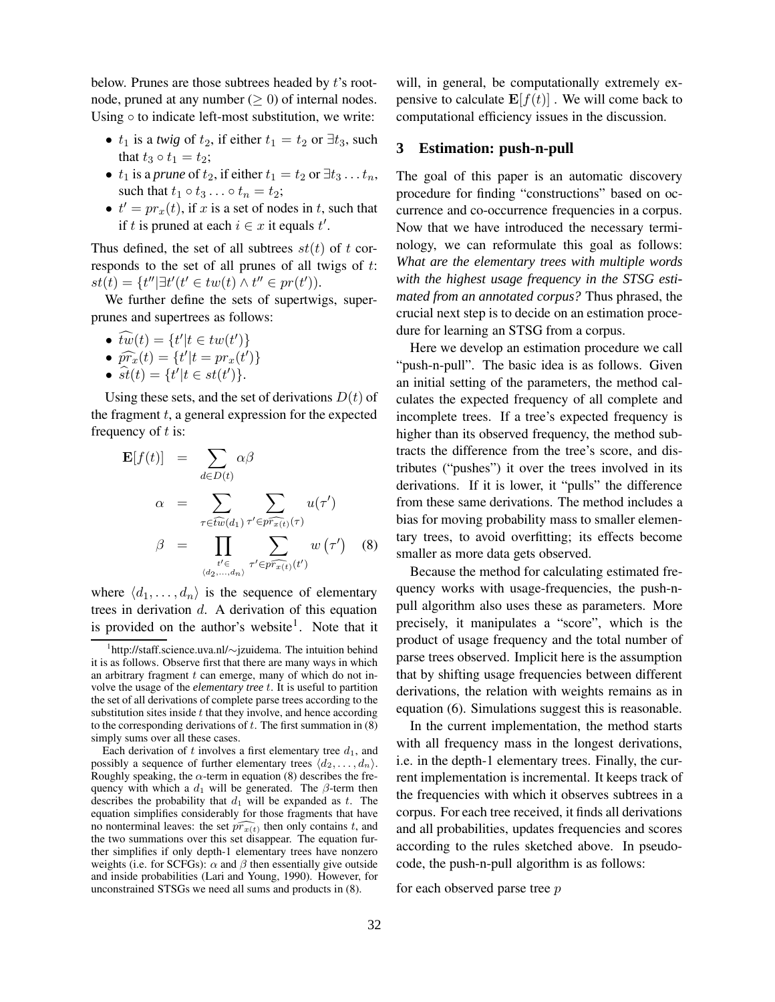below. Prunes are those subtrees headed by t's rootnode, pruned at any number ( $\geq$  0) of internal nodes. Using  $\circ$  to indicate left-most substitution, we write:

- $t_1$  is a *twig* of  $t_2$ , if either  $t_1 = t_2$  or  $\exists t_3$ , such that  $t_3 \circ t_1 = t_2$ ;
- $t_1$  is a *prune* of  $t_2$ , if either  $t_1 = t_2$  or  $\exists t_3 \dots t_n$ , such that  $t_1 \circ t_3 \ldots \circ t_n = t_2$ ;
- $t' = pr_x(t)$ , if x is a set of nodes in t, such that if t is pruned at each  $i \in x$  it equals  $t'$ .

Thus defined, the set of all subtrees  $st(t)$  of t corresponds to the set of all prunes of all twigs of t:  $st(t) = \{t'' | \exists t'(t' \in tw(t) \land t'' \in pr(t')).$ 

We further define the sets of supertwigs, superprunes and supertrees as follows:

- $\widehat{tw}(t) = \{t'|t \in tw(t')\}$
- $\widehat{pr}_x(t) = \{t'|t = pr_x(t')\}$
- $\hat{st}(t) = \{t'|t \in st(t')\}.$

Using these sets, and the set of derivations  $D(t)$  of the fragment  $t$ , a general expression for the expected frequency of  $t$  is:

$$
\mathbf{E}[f(t)] = \sum_{d \in D(t)} \alpha \beta
$$

$$
\alpha = \sum_{\tau \in \widehat{tw}(d_1)} \sum_{\tau' \in p\widehat{r_{x(t)}}(\tau)} u(\tau')
$$

$$
\beta = \prod_{\substack{t' \in \pi' \in p\widehat{r_{x(t)}}(\tau' \\ \langle d_2, ..., d_n \rangle}} \sum_{\tau' \in p\widehat{r_{x(t)}}(t')} w(\tau') \quad (8)
$$

where  $\langle d_1, \ldots, d_n \rangle$  is the sequence of elementary trees in derivation d. A derivation of this equation is provided on the author's website<sup>1</sup>. Note that it will, in general, be computationally extremely expensive to calculate  $\mathbf{E}[f(t)]$ . We will come back to computational efficiency issues in the discussion.

### **3 Estimation: push-n-pull**

The goal of this paper is an automatic discovery procedure for finding "constructions" based on occurrence and co-occurrence frequencies in a corpus. Now that we have introduced the necessary terminology, we can reformulate this goal as follows: *What are the elementary trees with multiple words with the highest usage frequency in the STSG estimated from an annotated corpus?* Thus phrased, the crucial next step is to decide on an estimation procedure for learning an STSG from a corpus.

Here we develop an estimation procedure we call "push-n-pull". The basic idea is as follows. Given an initial setting of the parameters, the method calculates the expected frequency of all complete and incomplete trees. If a tree's expected frequency is higher than its observed frequency, the method subtracts the difference from the tree's score, and distributes ("pushes") it over the trees involved in its derivations. If it is lower, it "pulls" the difference from these same derivations. The method includes a bias for moving probability mass to smaller elementary trees, to avoid overfitting; its effects become smaller as more data gets observed.

Because the method for calculating estimated frequency works with usage-frequencies, the push-npull algorithm also uses these as parameters. More precisely, it manipulates a "score", which is the product of usage frequency and the total number of parse trees observed. Implicit here is the assumption that by shifting usage frequencies between different derivations, the relation with weights remains as in equation (6). Simulations suggest this is reasonable.

In the current implementation, the method starts with all frequency mass in the longest derivations, i.e. in the depth-1 elementary trees. Finally, the current implementation is incremental. It keeps track of the frequencies with which it observes subtrees in a corpus. For each tree received, it finds all derivations and all probabilities, updates frequencies and scores according to the rules sketched above. In pseudocode, the push-n-pull algorithm is as follows:

for each observed parse tree p

<sup>1</sup> http://staff.science.uva.nl/∼jzuidema. The intuition behind it is as follows. Observe first that there are many ways in which an arbitrary fragment  $t$  can emerge, many of which do not involve the usage of the *elementary tree* t. It is useful to partition the set of all derivations of complete parse trees according to the substitution sites inside  $t$  that they involve, and hence according to the corresponding derivations of  $t$ . The first summation in  $(8)$ simply sums over all these cases.

Each derivation of t involves a first elementary tree  $d_1$ , and possibly a sequence of further elementary trees  $\langle d_2, \ldots, d_n \rangle$ . Roughly speaking, the  $\alpha$ -term in equation (8) describes the frequency with which a  $d_1$  will be generated. The  $\beta$ -term then describes the probability that  $d_1$  will be expanded as t. The equation simplifies considerably for those fragments that have no nonterminal leaves: the set  $\widehat{pr_{x(t)}}$  then only contains t, and the two summations over this set disappear. The equation further simplifies if only depth-1 elementary trees have nonzero weights (i.e. for SCFGs):  $\alpha$  and  $\beta$  then essentially give outside and inside probabilities (Lari and Young, 1990). However, for unconstrained STSGs we need all sums and products in (8).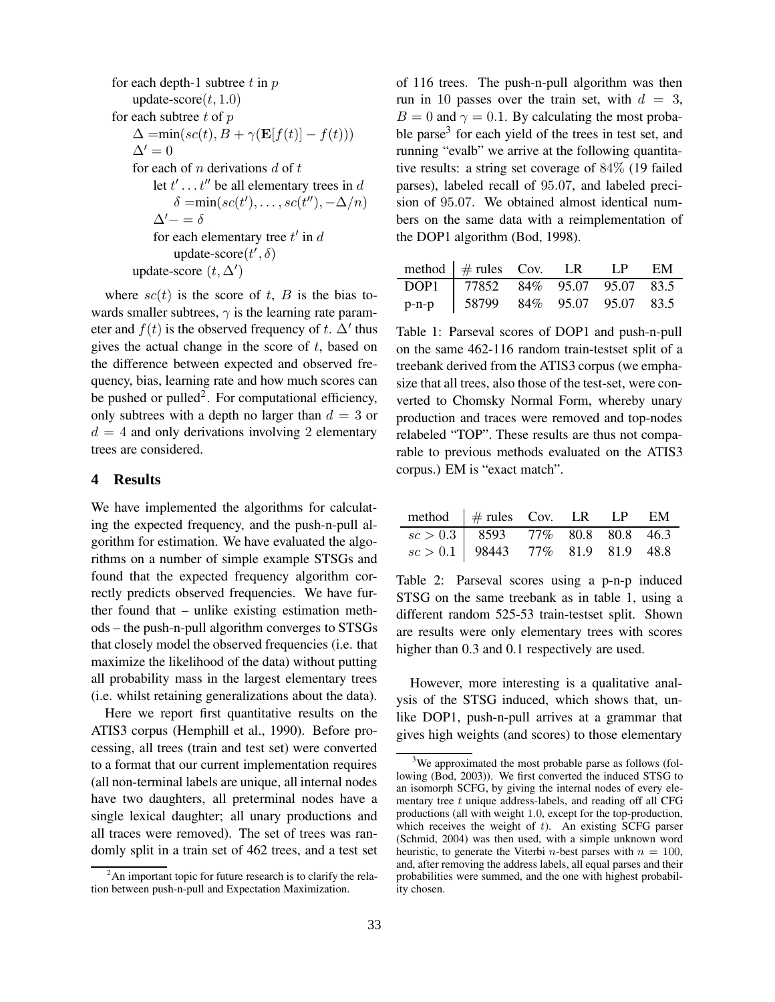for each depth-1 subtree *t* in *p*  
\nupdate-score(*t*, 1.0)  
\nfor each subtree *t* of *p*  
\n
$$
\Delta = \min(sc(t), B + \gamma(\mathbf{E}[f(t)] - f(t)))
$$
\n
$$
\Delta' = 0
$$
\nfor each of *n* derivations *d* of *t*  
\nlet *t'* ... *t''* be all elementary trees in *d*  
\n
$$
\delta = \min(sc(t'), ..., sc(t''), -\Delta/n)
$$
\n
$$
\Delta' = \delta
$$
\nfor each elementary tree *t'* in *d*  
\nupdate-score(*t'*,  $\delta$ )  
\nupdate-score (*t*,  $\Delta'$ )

where  $sc(t)$  is the score of t, B is the bias towards smaller subtrees,  $\gamma$  is the learning rate parameter and  $f(t)$  is the observed frequency of t.  $\Delta'$  thus gives the actual change in the score of  $t$ , based on the difference between expected and observed frequency, bias, learning rate and how much scores can be pushed or pulled<sup>2</sup>. For computational efficiency, only subtrees with a depth no larger than  $d = 3$  or  $d = 4$  and only derivations involving 2 elementary trees are considered.

### **4 Results**

We have implemented the algorithms for calculating the expected frequency, and the push-n-pull algorithm for estimation. We have evaluated the algorithms on a number of simple example STSGs and found that the expected frequency algorithm correctly predicts observed frequencies. We have further found that – unlike existing estimation methods – the push-n-pull algorithm converges to STSGs that closely model the observed frequencies (i.e. that maximize the likelihood of the data) without putting all probability mass in the largest elementary trees (i.e. whilst retaining generalizations about the data).

Here we report first quantitative results on the ATIS3 corpus (Hemphill et al., 1990). Before processing, all trees (train and test set) were converted to a format that our current implementation requires (all non-terminal labels are unique, all internal nodes have two daughters, all preterminal nodes have a single lexical daughter; all unary productions and all traces were removed). The set of trees was randomly split in a train set of 462 trees, and a test set of 116 trees. The push-n-pull algorithm was then run in 10 passes over the train set, with  $d = 3$ ,  $B = 0$  and  $\gamma = 0.1$ . By calculating the most probable parse<sup>3</sup> for each yield of the trees in test set, and running "evalb" we arrive at the following quantitative results: a string set coverage of 84% (19 failed parses), labeled recall of 95.07, and labeled precision of 95.07. We obtained almost identical numbers on the same data with a reimplementation of the DOP1 algorithm (Bod, 1998).

|         | method $\frac{1}{2}$ # rules Cov. LR LP EM |  |  |
|---------|--------------------------------------------|--|--|
|         | DOP1 77852 84% 95.07 95.07 83.5            |  |  |
| $p-n-p$ | 58799 84% 95.07 95.07 83.5                 |  |  |

Table 1: Parseval scores of DOP1 and push-n-pull on the same 462-116 random train-testset split of a treebank derived from the ATIS3 corpus (we emphasize that all trees, also those of the test-set, were converted to Chomsky Normal Form, whereby unary production and traces were removed and top-nodes relabeled "TOP". These results are thus not comparable to previous methods evaluated on the ATIS3 corpus.) EM is "exact match".

| method $\#$ rules Cov. LR LP EM      |  |  |  |
|--------------------------------------|--|--|--|
| $sc > 0.3$   8593 77% 80.8 80.8 46.3 |  |  |  |
| $sc > 0.1$ 98443 77% 81.9 81.9 48.8  |  |  |  |

Table 2: Parseval scores using a p-n-p induced STSG on the same treebank as in table 1, using a different random 525-53 train-testset split. Shown are results were only elementary trees with scores higher than 0.3 and 0.1 respectively are used.

However, more interesting is a qualitative analysis of the STSG induced, which shows that, unlike DOP1, push-n-pull arrives at a grammar that gives high weights (and scores) to those elementary

 $2^2$ An important topic for future research is to clarify the relation between push-n-pull and Expectation Maximization.

<sup>&</sup>lt;sup>3</sup>We approximated the most probable parse as follows (following (Bod, 2003)). We first converted the induced STSG to an isomorph SCFG, by giving the internal nodes of every elementary tree t unique address-labels, and reading off all CFG productions (all with weight 1.0, except for the top-production, which receives the weight of  $t$ ). An existing SCFG parser (Schmid, 2004) was then used, with a simple unknown word heuristic, to generate the Viterbi *n*-best parses with  $n = 100$ , and, after removing the address labels, all equal parses and their probabilities were summed, and the one with highest probability chosen.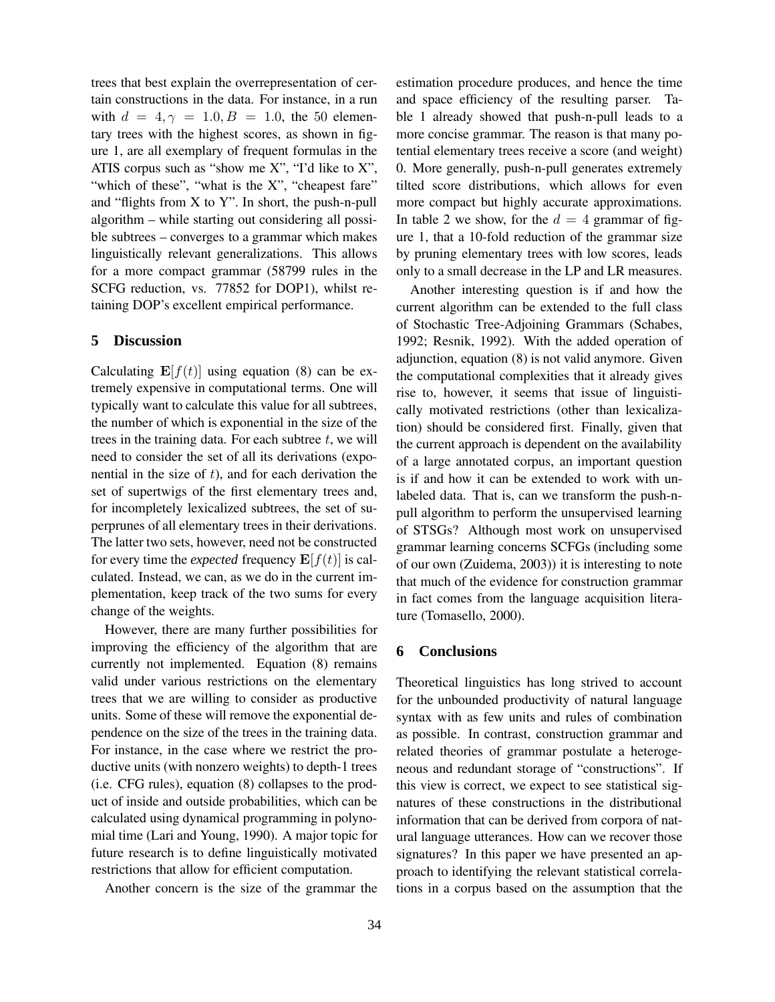trees that best explain the overrepresentation of certain constructions in the data. For instance, in a run with  $d = 4, \gamma = 1.0, B = 1.0$ , the 50 elementary trees with the highest scores, as shown in figure 1, are all exemplary of frequent formulas in the ATIS corpus such as "show me  $X$ ", "I'd like to  $X$ ", "which of these", "what is the X", "cheapest fare" and "flights from X to Y". In short, the push-n-pull algorithm – while starting out considering all possible subtrees – converges to a grammar which makes linguistically relevant generalizations. This allows for a more compact grammar (58799 rules in the SCFG reduction, vs. 77852 for DOP1), whilst retaining DOP's excellent empirical performance.

#### **5 Discussion**

Calculating  $\mathbf{E}[f(t)]$  using equation (8) can be extremely expensive in computational terms. One will typically want to calculate this value for all subtrees, the number of which is exponential in the size of the trees in the training data. For each subtree  $t$ , we will need to consider the set of all its derivations (exponential in the size of  $t$ ), and for each derivation the set of supertwigs of the first elementary trees and, for incompletely lexicalized subtrees, the set of superprunes of all elementary trees in their derivations. The latter two sets, however, need not be constructed for every time the *expected* frequency  $\mathbf{E}[f(t)]$  is calculated. Instead, we can, as we do in the current implementation, keep track of the two sums for every change of the weights.

However, there are many further possibilities for improving the efficiency of the algorithm that are currently not implemented. Equation (8) remains valid under various restrictions on the elementary trees that we are willing to consider as productive units. Some of these will remove the exponential dependence on the size of the trees in the training data. For instance, in the case where we restrict the productive units (with nonzero weights) to depth-1 trees (i.e. CFG rules), equation (8) collapses to the product of inside and outside probabilities, which can be calculated using dynamical programming in polynomial time (Lari and Young, 1990). A major topic for future research is to define linguistically motivated restrictions that allow for efficient computation.

Another concern is the size of the grammar the

estimation procedure produces, and hence the time and space efficiency of the resulting parser. Table 1 already showed that push-n-pull leads to a more concise grammar. The reason is that many potential elementary trees receive a score (and weight) 0. More generally, push-n-pull generates extremely tilted score distributions, which allows for even more compact but highly accurate approximations. In table 2 we show, for the  $d = 4$  grammar of figure 1, that a 10-fold reduction of the grammar size by pruning elementary trees with low scores, leads only to a small decrease in the LP and LR measures.

Another interesting question is if and how the current algorithm can be extended to the full class of Stochastic Tree-Adjoining Grammars (Schabes, 1992; Resnik, 1992). With the added operation of adjunction, equation (8) is not valid anymore. Given the computational complexities that it already gives rise to, however, it seems that issue of linguistically motivated restrictions (other than lexicalization) should be considered first. Finally, given that the current approach is dependent on the availability of a large annotated corpus, an important question is if and how it can be extended to work with unlabeled data. That is, can we transform the push-npull algorithm to perform the unsupervised learning of STSGs? Although most work on unsupervised grammar learning concerns SCFGs (including some of our own (Zuidema, 2003)) it is interesting to note that much of the evidence for construction grammar in fact comes from the language acquisition literature (Tomasello, 2000).

#### **6 Conclusions**

Theoretical linguistics has long strived to account for the unbounded productivity of natural language syntax with as few units and rules of combination as possible. In contrast, construction grammar and related theories of grammar postulate a heterogeneous and redundant storage of "constructions". If this view is correct, we expect to see statistical signatures of these constructions in the distributional information that can be derived from corpora of natural language utterances. How can we recover those signatures? In this paper we have presented an approach to identifying the relevant statistical correlations in a corpus based on the assumption that the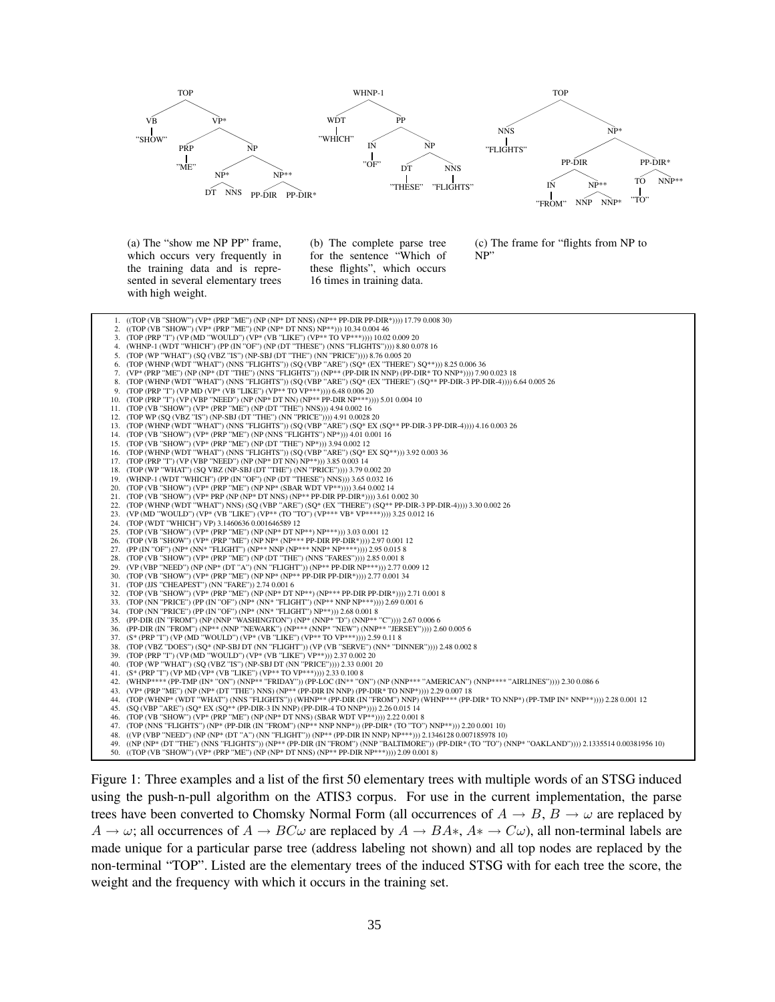

Figure 1: Three examples and a list of the first 50 elementary trees with multiple words of an STSG induced using the push-n-pull algorithm on the ATIS3 corpus. For use in the current implementation, the parse trees have been converted to Chomsky Normal Form (all occurrences of  $A \rightarrow B$ ,  $B \rightarrow \omega$  are replaced by  $A \to \omega$ ; all occurrences of  $A \to BC\omega$  are replaced by  $A \to BA$ <sup>\*</sup>,  $A^* \to C\omega$ ), all non-terminal labels are made unique for a particular parse tree (address labeling not shown) and all top nodes are replaced by the non-terminal "TOP". Listed are the elementary trees of the induced STSG with for each tree the score, the weight and the frequency with which it occurs in the training set.